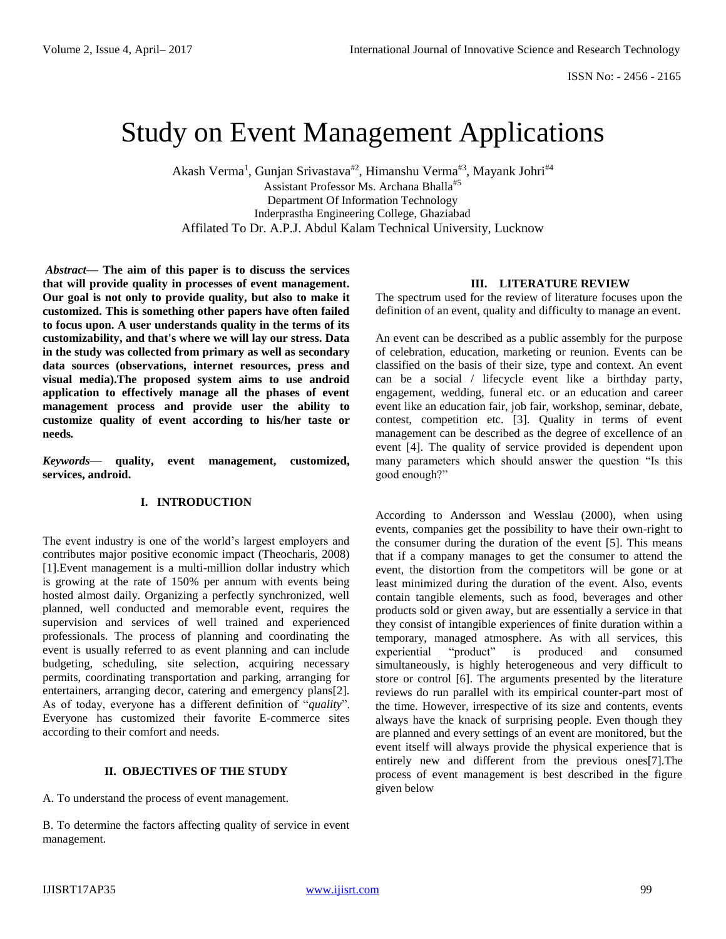# Study on Event Management Applications

Akash Verma<sup>1</sup>, Gunjan Srivastava<sup>#2</sup>, Himanshu Verma<sup>#3</sup>, Mayank Johri<sup>#4</sup> Assistant Professor Ms. Archana Bhalla#5 Department Of Information Technology Inderprastha Engineering College, Ghaziabad Affilated To Dr. A.P.J. Abdul Kalam Technical University, Lucknow

*Abstract***— The aim of this paper is to discuss the services that will provide quality in processes of event management. Our goal is not only to provide quality, but also to make it customized. This is something other papers have often failed to focus upon. A user understands quality in the terms of its customizability, and that's where we will lay our stress. Data in the study was collected from primary as well as secondary data sources (observations, internet resources, press and visual media).The proposed system aims to use android application to effectively manage all the phases of event management process and provide user the ability to customize quality of event according to his/her taste or needs***.* 

*Keywords*— **quality, event management, customized, services, android.**

# **I. INTRODUCTION**

The event industry is one of the world's largest employers and contributes major positive economic impact (Theocharis, 2008) [1].Event management is a multi-million dollar industry which is growing at the rate of 150% per annum with events being hosted almost daily. Organizing a perfectly synchronized, well planned, well conducted and memorable event, requires the supervision and services of well trained and experienced professionals. The process of planning and coordinating the event is usually referred to as event planning and can include budgeting, scheduling, site selection, acquiring necessary permits, coordinating transportation and parking, arranging for entertainers, arranging decor, catering and emergency plans[2]. As of today, everyone has a different definition of "*quality*". Everyone has customized their favorite E-commerce sites according to their comfort and needs.

## **II. OBJECTIVES OF THE STUDY**

A. To understand the process of event management.

B. To determine the factors affecting quality of service in event management.

#### **III. LITERATURE REVIEW**

The spectrum used for the review of literature focuses upon the definition of an event, quality and difficulty to manage an event.

An event can be described as a public assembly for the purpose of celebration, education, marketing or reunion. Events can be classified on the basis of their size, type and context. An event can be a social / lifecycle event like a birthday party, engagement, wedding, funeral etc. or an education and career event like an education fair, job fair, workshop, seminar, debate, contest, competition etc. [3]. Quality in terms of event management can be described as the degree of excellence of an event [4]. The quality of service provided is dependent upon many parameters which should answer the question "Is this good enough?"

According to Andersson and Wesslau (2000), when using events, companies get the possibility to have their own-right to the consumer during the duration of the event [5]. This means that if a company manages to get the consumer to attend the event, the distortion from the competitors will be gone or at least minimized during the duration of the event. Also, events contain tangible elements, such as food, beverages and other products sold or given away, but are essentially a service in that they consist of intangible experiences of finite duration within a temporary, managed atmosphere. As with all services, this experiential "product" is produced and consumed simultaneously, is highly heterogeneous and very difficult to store or control [6]. The arguments presented by the literature reviews do run parallel with its empirical counter-part most of the time. However, irrespective of its size and contents, events always have the knack of surprising people. Even though they are planned and every settings of an event are monitored, but the event itself will always provide the physical experience that is entirely new and different from the previous ones[7].The process of event management is best described in the figure given below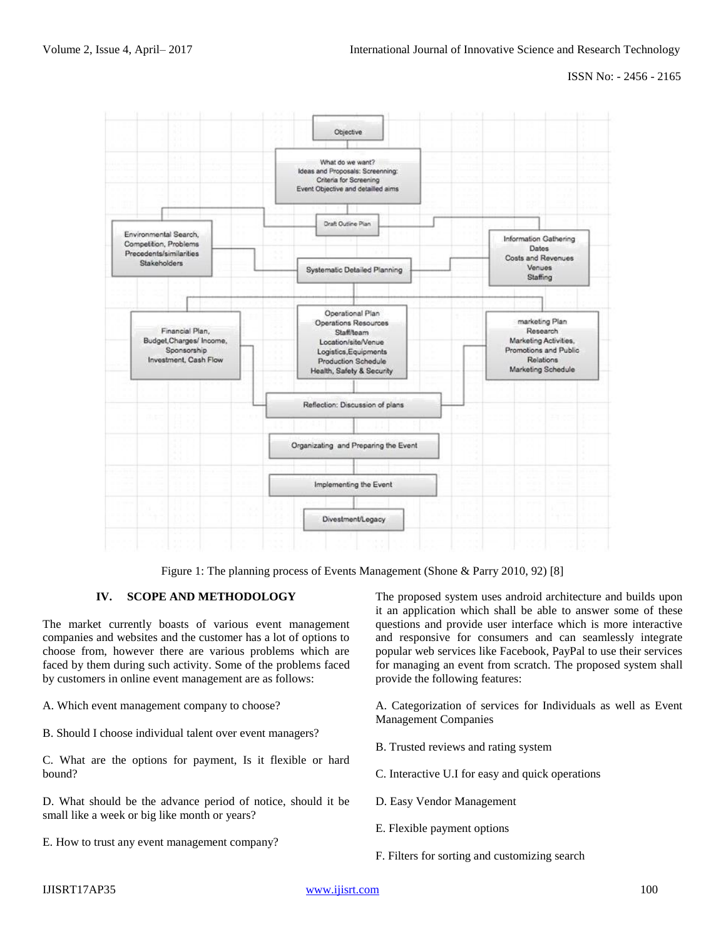ISSN No: - 2456 - 2165



Figure 1: The planning process of Events Management (Shone & Parry 2010, 92) [8]

## **IV. SCOPE AND METHODOLOGY**

The market currently boasts of various event management companies and websites and the customer has a lot of options to choose from, however there are various problems which are faced by them during such activity. Some of the problems faced by customers in online event management are as follows:

A. Which event management company to choose?

B. Should I choose individual talent over event managers?

C. What are the options for payment, Is it flexible or hard bound?

D. What should be the advance period of notice, should it be small like a week or big like month or years?

E. How to trust any event management company?

The proposed system uses android architecture and builds upon it an application which shall be able to answer some of these questions and provide user interface which is more interactive and responsive for consumers and can seamlessly integrate popular web services like Facebook, PayPal to use their services for managing an event from scratch. The proposed system shall provide the following features:

A. Categorization of services for Individuals as well as Event Management Companies

- B. Trusted reviews and rating system
- C. Interactive U.I for easy and quick operations
- D. Easy Vendor Management
- E. Flexible payment options
- F. Filters for sorting and customizing search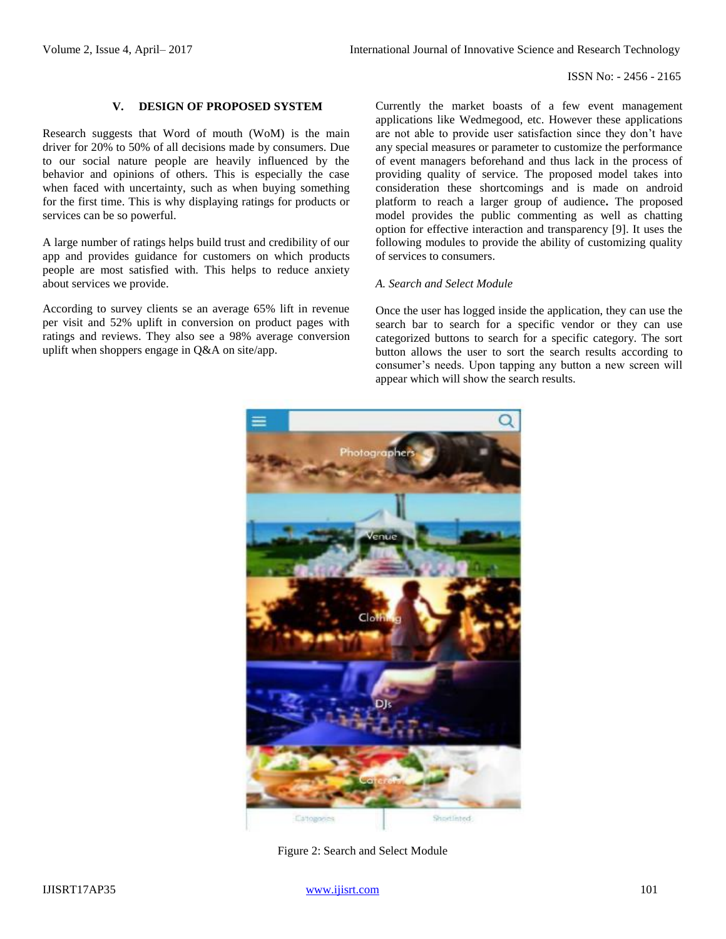## **V. DESIGN OF PROPOSED SYSTEM**

Research suggests that Word of mouth (WoM) is the main driver for 20% to 50% of all decisions made by consumers. Due to our social nature people are heavily influenced by the behavior and opinions of others. This is especially the case when faced with uncertainty, such as when buying something for the first time. This is why displaying ratings for products or services can be so powerful.

A large number of ratings helps build trust and credibility of our app and provides guidance for customers on which products people are most satisfied with. This helps to reduce anxiety about services we provide.

According to survey clients se an average 65% lift in revenue per visit and 52% uplift in conversion on product pages with ratings and reviews. They also see a 98% average conversion uplift when shoppers engage in Q&A on site/app.

Currently the market boasts of a few event management applications like Wedmegood, etc. However these applications are not able to provide user satisfaction since they don't have any special measures or parameter to customize the performance of event managers beforehand and thus lack in the process of providing quality of service. The proposed model takes into consideration these shortcomings and is made on android platform to reach a larger group of audience**.** The proposed model provides the public commenting as well as chatting option for effective interaction and transparency [9]. It uses the following modules to provide the ability of customizing quality of services to consumers.

## *A. Search and Select Module*

Once the user has logged inside the application, they can use the search bar to search for a specific vendor or they can use categorized buttons to search for a specific category. The sort button allows the user to sort the search results according to consumer's needs. Upon tapping any button a new screen will appear which will show the search results.



Figure 2: Search and Select Module

IJISRT17AP35 [www.ijisrt.com](http://www.ijisrt.com/) 101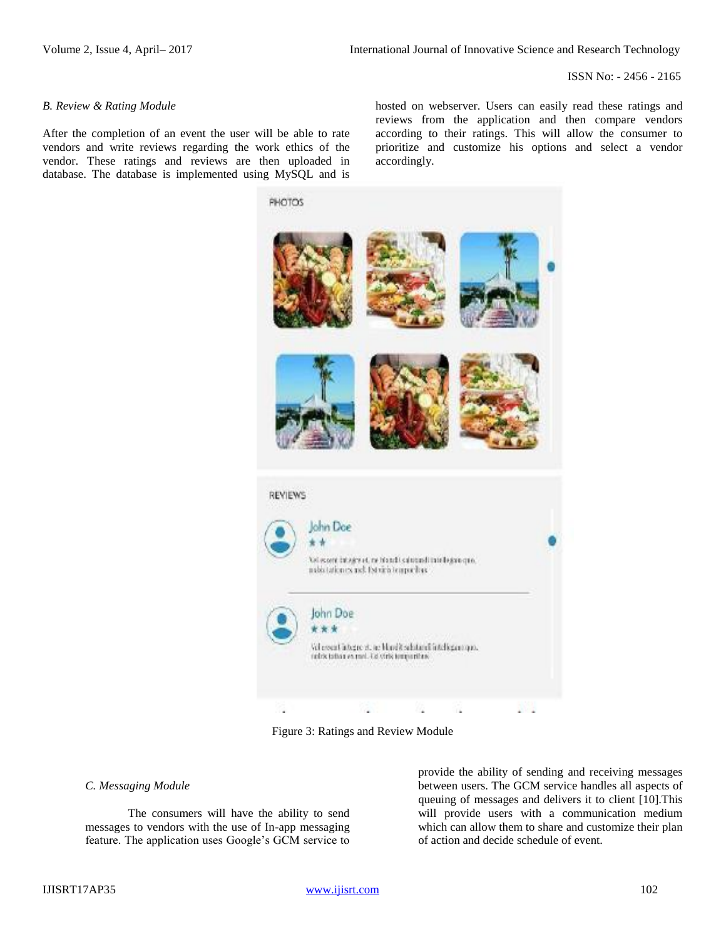ISSN No: - 2456 - 2165

#### *B. Review & Rating Module*

After the completion of an event the user will be able to rate vendors and write reviews regarding the work ethics of the vendor. These ratings and reviews are then uploaded in database. The database is implemented using MySQL and is

hosted on webserver. Users can easily read these ratings and reviews from the application and then compare vendors according to their ratings. This will allow the consumer to prioritize and customize his options and select a vendor accordingly.



Figure 3: Ratings and Review Module

### *C. Messaging Module*

The consumers will have the ability to send messages to vendors with the use of In-app messaging feature. The application uses Google's GCM service to

provide the ability of sending and receiving messages between users. The GCM service handles all aspects of queuing of messages and delivers it to client [10].This will provide users with a communication medium which can allow them to share and customize their plan of action and decide schedule of event.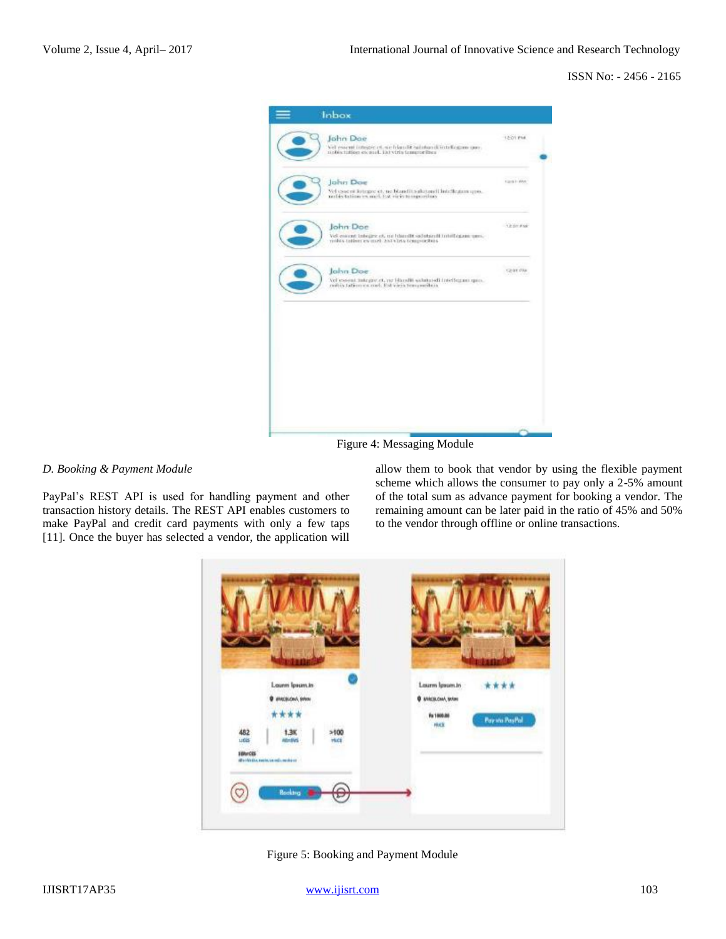ISSN No: - 2456 - 2165



Figure 4: Messaging Module

## *D. Booking & Payment Module*

PayPal's REST API is used for handling payment and other transaction history details. The REST API enables customers to make PayPal and credit card payments with only a few taps [11]. Once the buyer has selected a vendor, the application will allow them to book that vendor by using the flexible payment scheme which allows the consumer to pay only a 2-5% amount of the total sum as advance payment for booking a vendor. The remaining amount can be later paid in the ratio of 45% and 50% to the vendor through offline or online transactions.



Figure 5: Booking and Payment Module